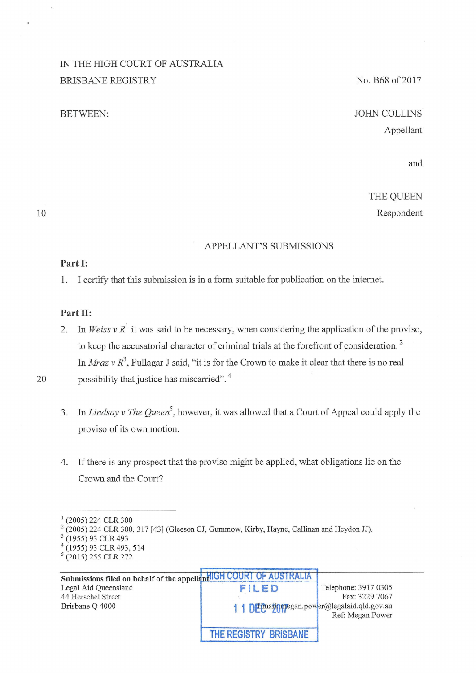## IN THE HIGH COURT OF AUSTRALIA BRISBANE REGISTRY

#### BETWEEN:

## No. B68 of 2017

# JOHN COLLINS Appellant

and

## THE QUEEN Respondent

10

## APPELLANT'S SUBMISSIONS

#### **Part 1:**

1. I certify that this submission is in a form suitable for publication on the intemet.

## Part **II**:

2. In *Weiss v R*<sup>1</sup> it was said to be necessary, when considering the application of the proviso, to keep the accusatorial character of criminal trials at the forefront of consideration.<sup>2</sup> In *Mraz* v  $R^3$ , Fullagar J said, "it is for the Crown to make it clear that there is no real 20 possibility that justice has miscarried". 4

- 3. In *Lindsay v The Queen<sup>5</sup> ,* however, it was allowed that a Court of Appeal could apply the proviso of its own motion.
- 4. If there is any prospect that the proviso might be applied, what obligations lie on the Crown and the Court?

<sup>(2005) 224</sup> CLR 300<br>(2005) 224 CLR 300, 317 [43] (Gleeson CJ, Gummow, Kirby, Hayne, Callinan and Heydon JJ).<br>(1955) 93 CLR 493, 514<br>(1955) 93 CLR 493, 514

<sup>5 (2015) 255</sup> CLR 272

**Submissions filed on behalf of the appellant COURT OF AUSTRALIA**<br>Legal Aid Queensland Telephone: 3917 0305 44 Herschel Street Fax: 3229 7067<br>Brisbane Q 4000 **11 DE** Paradio prover all equals of the Fax: 3229 7067 1 1 DEmailonegan.power@legalaid.qld.gov.au Ref: Megan Power **THE REGISTRY BRISBANE**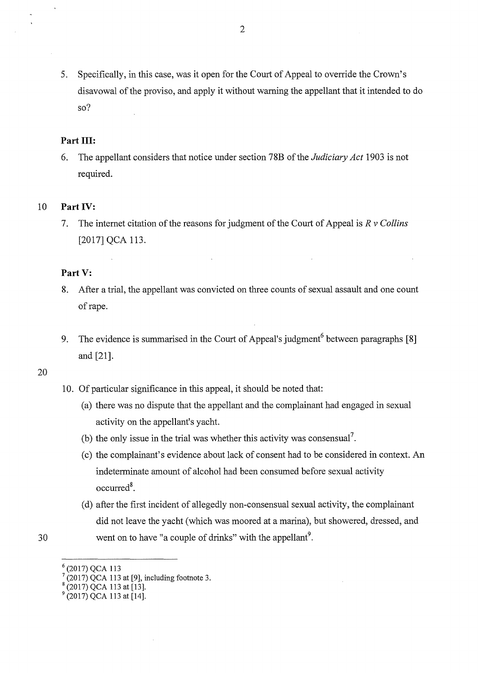5. Specifically, in this case, was it open for the Court of Appeal to override the Crown's disavowal of the proviso, and apply it without warning the appellant that it intended to do so?

## Part **III**:

6. The appellant considers that notice under section 78B of the *Judiciary Act* 1903 is not required.

## 10 **Part** IV:

7. The internet citation of the reasons for judgment of the Court of Appeal is  $R v$  Collins [2017] QCA 113.

## **Part V:**

- 8. After a trial, the appellant was convicted on three counts of sexual assault and one count of rape.
- 9. The evidence is summarised in the Court of Appeal's judgment<sup>6</sup> between paragraphs [8] and [21].

#### 20

- 10. Of particular significance in this appeal, it should be noted that:
	- (a) there was no dispute that the appellant and the complainant had engaged in sexual activity on the appellant's yacht.
	- (b) the only issue in the trial was whether this activity was consensual<sup>7</sup>.
	- (c) the complainant's evidence about lack of consent had to be considered in context. An indeterminate amount of alcohol had been consumed before sexual activity occurred<sup>8</sup>.
	- (d) after the first incident of allegedly non-consensual sexual activity, the complainant did not leave the yacht (which was moored at a marina), but showered, dressed, and went on to have "a couple of drinks" with the appellant $9$ .

 $\binom{6}{7}$  (2017) QCA 113 at [9], including footnote 3.<br>  $\binom{8}{2017}$  QCA 113 at [13].<br>
9 (2017) QCA 113 at [14].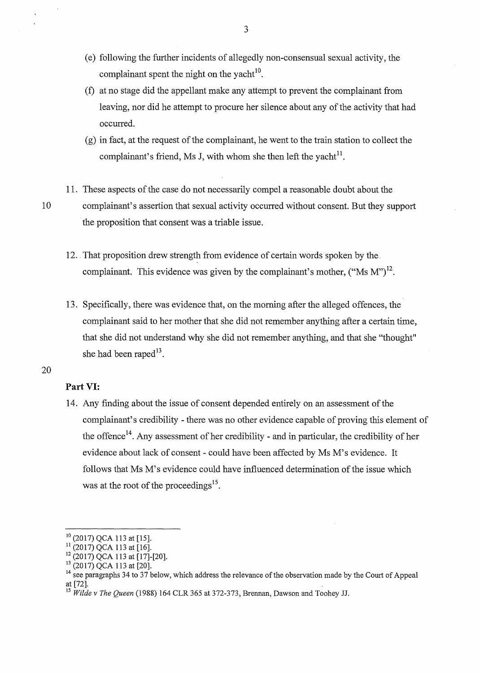- (e) following the further incidents of allegedly non-consensual sexual activity, the complainant spent the night on the yacht $10$ .
- (f) at no stage did the appellant make any attempt to prevent the complainant from leaving, nor did he attempt to procure her silence about any of the activity that had occurred.
- $(g)$  in fact, at the request of the complainant, he went to the train station to collect the complainant's friend, Ms J, with whom she then left the yacht<sup>11</sup>.
- 11. These aspects of the case do not necessarily compel a reasonable doubt about the

10 complainant's assertion that sexual activity occurred without consent. But they support the proposition that consent was a triable issue.

- 12 .. That proposition drew strength from evidence of certain words spoken by the. complainant. This evidence was given by the complainant's mother,  $("Ms M")^{12}$ .
- 13. Specifically, there was evidence that, on the morning after the alleged offences, the complainant said to her mother that she did not remember anything after a certain time, that she did not understand why she did not remember anything, and that she "thought" she had been raped $^{13}$ .

## 20

## **Part** VI:

14. Any fmding about the issue of consent depended entirely on an assessment of the complainant's credibility - there was no other evidence capable of proving this element of the offence<sup>14</sup>. Any assessment of her credibility - and in particular, the credibility of her evidence about lack of consent- could have been affected by Ms M's evidence. It follows that Ms M's evidence could have influenced determination of the issue which was at the root of the proceedings<sup>15</sup>.

<sup>&</sup>lt;sup>10</sup> (2017) QCA 113 at [15].<br><sup>11</sup> (2017) QCA 113 at [16].<br><sup>12</sup> (2017) QCA 113 at [17]-[20].<br><sup>14</sup> see paragraphs 34 to 37 below, which address the relevance of the observation made by the Court of Appeal at [72]. 15 *Wilde v The Queen* (1988) 164 CLR 365 at 372-373, Brennan, Dawson and Toohey JJ.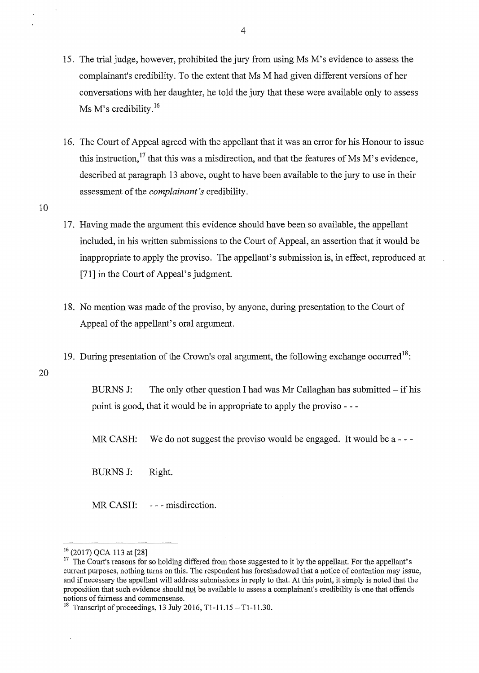- 15. The trial judge, however, prohibited the jury from using Ms M's evidence to assess the complainant's credibility. To the extent that Ms M had given different versions of her conversations with her daughter, he told the jury that these were available only to assess Ms M's credibility.<sup>16</sup>
- 16. The Court of Appeal agreed with the appellant that it was an error for his Honour to issue this instruction,  $^{17}$  that this was a misdirection, and that the features of Ms M's evidence, described at paragraph 13 above, ought to have been available to the jury to use in their assessment of the *complainant's* credibility.
- 17. Having made the argument this evidence should have been so available, the appellant included, in his written submissions to the Court of Appeal, an assertion that it would be inappropriate to apply the proviso. The appellant's submission is, in effect, reproduced at [71] in the Court of Appeal's judgment.
- 18. No mention was made of the proviso, by anyone, during presentation to the Court of Appeal of the appellant's oral argument.
- 19. During presentation of the Crown's oral argument, the following exchange occurred<sup>18</sup>:
- 20

10

BURNS J: The only other question I had was Mr Callaghan has submitted – if his point is good, that it would be in appropriate to apply the proviso - - -

MR CASH: We do not suggest the proviso would be engaged. It would be a ---

BURNS J: Right.

MR CASH: --- misdirection.

 $16$  (2017) QCA 113 at [28]<br><sup>17</sup> The Court's reasons for so holding differed from those suggested to it by the appellant. For the appellant's current purposes, nothing turns on this. The respondent has foreshadowed that a notice of contention may issue, and if necessary the appellant will address submissions in reply to that. At this point, it simply is noted that the proposition that such evidence should not be available to assess a complainant's credibility is one that offends notions of fairness and commonsense.<br><sup>18</sup> Transcript of proceedings, 13 July 2016, T1-11.15 - T1-11.30.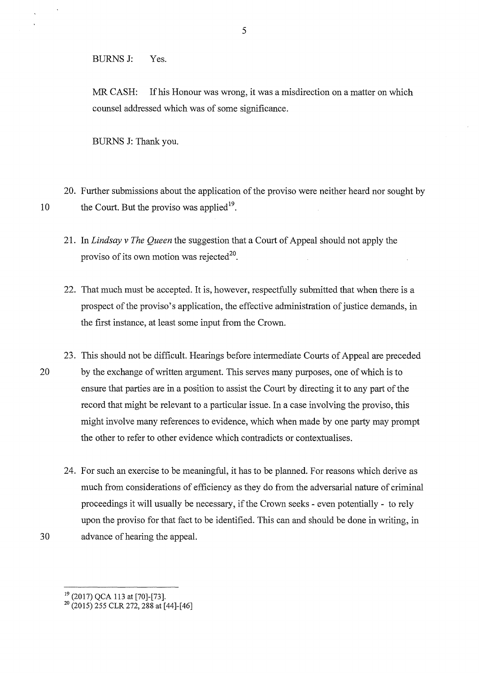BURNS J: Yes.

MR CASH: If his Honour was wrong, it was a misdirection on a matter on which counsel addressed which was of some significance.

BURNS J: Thank you.

20. Further submissions about the application of the proviso were neither heard nor sought by 10 the Court. But the proviso was applied  $19$ .

- 21. In *Lindsay v The Queen* the suggestion that a Court of Appeal should not apply the proviso of its own motion was rejected<sup>20</sup>.
- 22. That much must be accepted. It is, however, respectfully submitted that when there is a prospect of the proviso's application, the effective administration of justice demands, in the first instance, at least some input from the Crown.
- 23. This should not be difficult. Hearings before intermediate Courts of Appeal are preceded 20 by the exchange of written argument. This serves many purposes, one of which is to ensure that parties are in a position to assist the Court by directing it to any part of the record that might be relevant to a particular issue. In a case involving the proviso, this might involve many references to evidence, which when made by one party may prompt the other to refer to other evidence which contradicts or contextualises.
- 24. For such an exercise to be meaningful, it has to be planned. For reasons which derive as much from considerations of efficiency as they do from the adversarial nature of criminal proceedings it will usually be necessary, if the Crown seeks - even potentially - to rely upon the proviso for that fact to be identified. This can and should be done in writing, in 30 advance of hearing the appeal.

<sup>&</sup>lt;sup>19</sup> (2017) QCA 113 at [70]-[73].<br><sup>20</sup> (2015) 255 CLR 272, 288 at [44]-[46]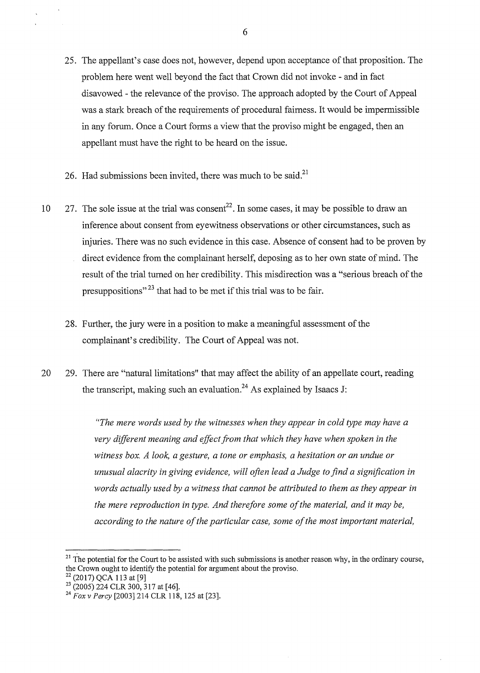- 25. The appellant's case does not, however, depend upon acceptance of that proposition. The problem here went well beyond the fact that Crown did not invoke - and in fact disavowed- the relevance of the proviso. The approach adopted by the Court of Appeal was a stark breach of the requirements of procedural fairness. It would be impermissible in any forum. Once a Court forms a view that the proviso might be engaged, then an appellant must have the right to be heard on the issue.
- 26. Had submissions been invited, there was much to be said.<sup>21</sup>
- 10 27. The sole issue at the trial was consent<sup>22</sup>. In some cases, it may be possible to draw an inference about consent from eyewitness observations or other circumstances, such as injuries. There was no such evidence in this case. Absence of consent had to be proven by direct evidence from the complainant herself, deposing as to her own state of mind. The result of the trial turned on her credibility. This misdirection was a "serious breach of the presuppositions"<sup>23</sup> that had to be met if this trial was to be fair.
	- 28. Further, the jury were in a position to make a meaningful assessment of the complainant's credibility. The Court of Appeal was not.
- 20 29. There are "natural limitations" that may affect the ability of an appellate court, reading the transcript, making such an evaluation.<sup>24</sup> As explained by Isaacs J:

*"The mere words used by the witnesses when they appear in cold type may have a very difforent meaning and effect from that which they have when spoken in the witness box. A look, a gesture, a tone or emphasis, a hesitation or an undue or unusual alacrity in giving evidence, will often lead a Judge to find a signification in words actually used by a witness that cannot be attributed to them as they appear in the mere reproduction in type. And therefore some of the material, and it may be, according to the nature of the particular case, some of the most important material,* 

 $21$  The potential for the Court to be assisted with such submissions is another reason why, in the ordinary course, the Crown ought to identify the potential for argument about the proviso.

<sup>22 (2017)</sup> QCA 113 at [9]<br>
<sup>23</sup> (2005) 224 CLR 300, 317 at [46].<br>
<sup>24</sup> *Fox v Percy* [2003] 214 CLR 118, 125 at [23].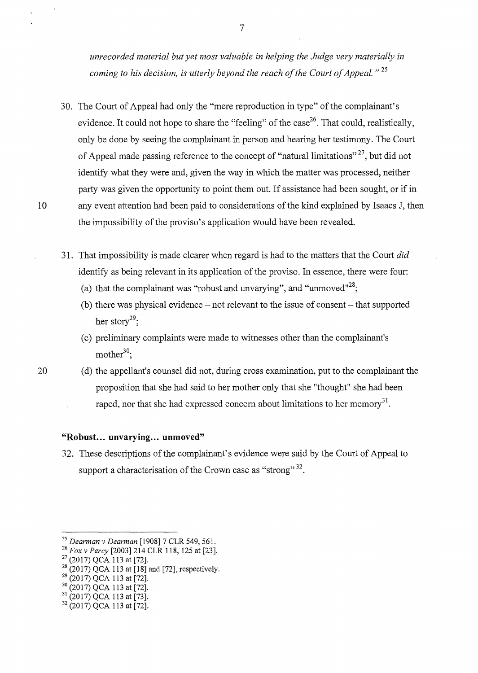*unrecorded material but yet most valuable in helping the Judge very materially in coming to his decision, is utterly beyond the reach of the Court of Appeal.* " 25

- 30. The Court of Appeal had only the "mere reproduction in type" of the complainant's evidence. It could not hope to share the "feeling" of the case<sup>26</sup>. That could, realistically, only be done by seeing the complainant in person and hearing her testimony. The Court of Appeal made passing reference to the concept of "natural limitations"  $27$ , but did not identify what they were and, given the way in which the matter was processed, neither party was given the opportunity to point them out. If assistance had been sought, or if in 10 any event attention had been paid to considerations of the kind explained by Isaacs J, then the impossibility of the proviso's application would have been revealed.
	- 31. That impossibility is made clearer when regard is had to the matters that the Court *did*  identify as being relevant in its application of the proviso. In essence, there were four:
		- (a) that the complainant was "robust and unvarying", and "unmoved"<sup>28</sup>;
		- $(b)$  there was physical evidence not relevant to the issue of consent that supported her story<sup>29</sup>;
		- (c) preliminary complaints were made to witnesses other than the complainant's mother $30$ :
- 20 (d) the appellant's counsel did not, during cross examination, put to the complainant the proposition that she had said to her mother only that she "thought" she had been raped, nor that she had expressed concern about limitations to her memory<sup>31</sup>.

#### **"Robust ... unvarying ... unmoved"**

32. These descriptions of the complainant's evidence were said by the Court of Appeal to support a characterisation of the Crown case as "strong"<sup>32</sup>.

<sup>&</sup>lt;sup>25</sup> Dearman v Dearman [1908] 7 CLR 549, 561.<br>
<sup>26</sup> Fox v Percy [2003] 214 CLR 118, 125 at [23].<br>
<sup>27</sup> (2017) QCA 113 at [72].<br>
<sup>28</sup> (2017) QCA 113 at [18] and [72], respectively.<br>
<sup>29</sup> (2017) QCA 113 at [72].<br>
<sup>30</sup> (2017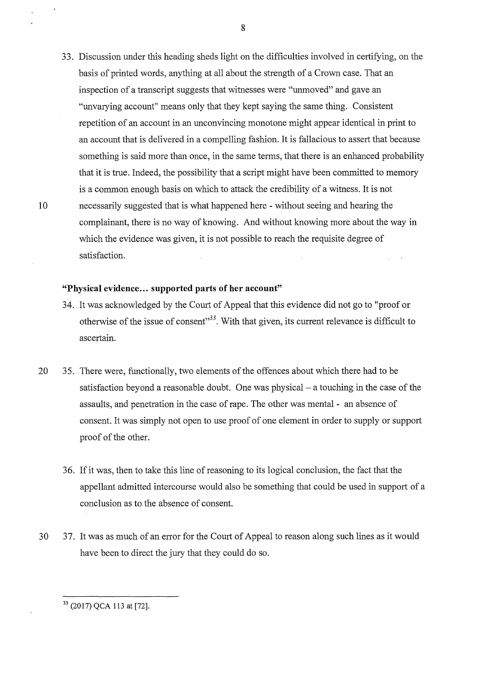33. Discussion under this heading sheds light on the difficulties involved in certifying, on the basis of printed words, anything at all about the strength of a Crown case. That an inspection of a transcript suggests that witnesses were "unmoved" and gave an "unvarying account" means only that they kept saying the same thing. Consistent repetition of an account in an unconvincing monotone might appear identical in print to an account that is delivered in a compelling fashion. It is fallacious to assert that because something is said more than once, in the same terms, that there is an enhanced probability that it is true. Indeed, the possibility that a script might have been committed to memory is a common enough basis on which to attack the credibility of a witness. It is not 10 necessarily suggested that is what happened here - without seeing and hearing the complainant, there is no way of knowing. And without knowing more about the way in which the evidence was given, it is not possible to reach the requisite degree of satisfaction.

#### **"Physical evidence ... supported parts of her account"**

- 34. It was acknowledged by the Court of Appeal that this evidence did not go to "proof or otherwise of the issue of consent"<sup>33</sup>. With that given, its current relevance is difficult to ascertain.
- 20 35. There were, functionally, two elements of the offences about which there had to be satisfaction beyond a reasonable doubt. One was physical – a touching in the case of the assaults, and penetration in the case of rape. The other was mental - an absence of consent. It was simply not open to use proof of one element in order to supply or support proof of the other.
	- 36. If it was, then to take this line of reasoning to its logical conclusion, the fact that the appellant admitted intercourse would also be something that could be used in support of a conclusion as to the absence of consent.
- 30 37. It was as much of an error for the Court of Appeal to reason along such lines as it would have been to direct the jury that they could do so.

<sup>8</sup>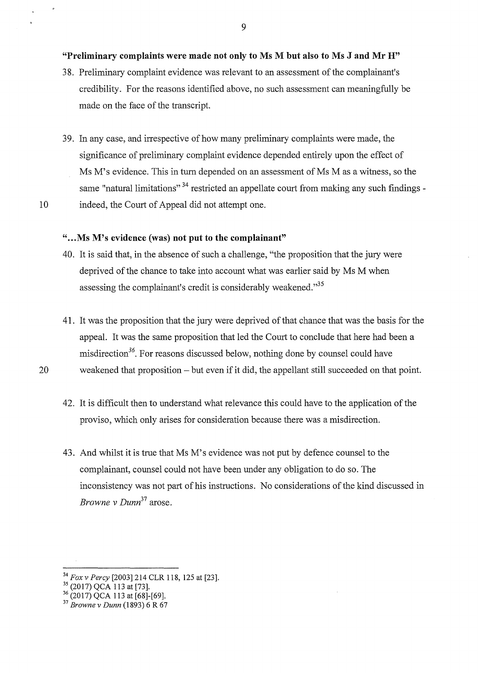#### "Preliminary complaints were made not only to Ms M but also to Ms J and Mr H"

- 38. Preliminary complaint evidence was relevant to an assessment of the complainant's credibility. For the reasons identified above, no such assessment can meaningfully be made on the face of the transcript.
- 39. In any case, and irrespective of how many preliminary complaints were made, the significance of preliminary complaint evidence depended entirely upon the effect of Ms M's evidence. This in turn depended on an assessment of Ms M as a witness, so the same "natural limitations"<sup>34</sup> restricted an appellate court from making any such findings -10 indeed, the Court of Appeal did not attempt one.

### "... Ms M's evidence (was) not put to the complainant"

- 40. It is said that, in the absence of such a challenge, "the proposition that the jury were deprived of the chance to take into account what was earlier said by Ms M when assessing the complainant's credit is considerably weakened."<sup>35</sup>
- 41. It was the proposition that the jury were deprived of that chance that was the basis for the appeal. It was the same proposition that led the Court to conclude that here had been a misdirection<sup>36</sup>. For reasons discussed below, nothing done by counsel could have 20 weakened that proposition -but even if it did, the appellant still succeeded on that point.
	- 42. It is difficult then to understand what relevance this could have to the application of the proviso, which only arises for consideration because there was a misdirection.
	- 43. And whilst it is true that Ms M's evidence was not put by defence counsel to the complainant, counsel could not have been under any obligation to do so. The inconsistency was not part of his instructions. No considerations of the kind discussed in *Browne v Dunn*<sup>37</sup> arose.

<sup>&</sup>lt;sup>34</sup> *Fox v Percy* [2003] 214 CLR 118, 125 at [23].<br><sup>35</sup> (2017) QCA 113 at [73].<br><sup>36</sup> (2017) QCA 113 at [68]-[69].<br><sup>37</sup> *Browne v Dunn* (1893) 6 R 67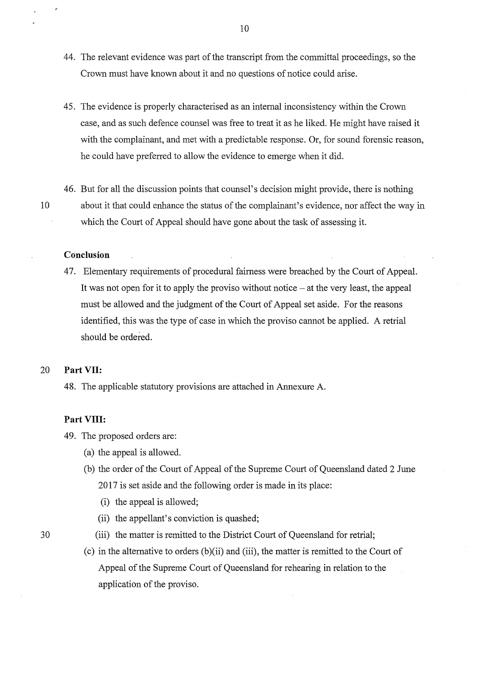- 44. The relevant evidence was part of the transcript from the committal proceedings, so the Crown must have known about it and no questions of notice could arise.
- 45. The evidence is properly characterised as an internal inconsistency within the Crown case, and as such defence counsel was free to treat it as he liked. He might have raised it with the complainant, and met with a predictable response. Or, for sound forensic reason, he could have preferred to allow the evidence to emerge when it did.
- 46. But for all the discussion points that counsel's decision might provide, there is nothing 10 about it that could enhance the status of the complainant's evidence, nor affect the way in which the Court of Appeal should have gone about the task of assessing it.

#### **Conclusion**

47. Elementary requirements of procedural fairness were breached by the Court of Appeal. It was not open for it to apply the proviso without notice  $-$  at the very least, the appeal must be allowed and the judgment of the Court of Appeal set aside. For the reasons identified, this was the type of case in which the proviso cannot be applied. A retrial should be ordered.

#### 20 **PartVII:**

48. The applicable statutory provisions are attached in Annexure A.

#### **Part VIII:**

49. The proposed orders are:

- (a) the appeal is allowed.
- (b) the order of the Court of Appeal of the Supreme Court of Queensland dated 2 June 2017 is set aside and the following order is made in its place:
	- (i) the appeal is allowed;
	- (ii) the appellant's conviction is quashed;
- 30 (iii) the matter is remitted to the District Court of Queensland for retrial;
	- (c) in the alternative to orders  $(b)(ii)$  and  $(iii)$ , the matter is remitted to the Court of Appeal of the Supreme Court of Queensland for rehearing in relation to the application of the proviso.